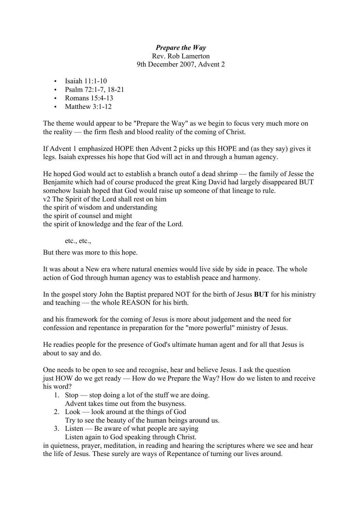## *Prepare the Way*

Rev. Rob Lamerton 9th December 2007, Advent 2

- $\cdot$  Isaiah 11:1-10
- Psalm  $72:1-7, 18-21$
- Romans 15:4-13
- Matthew  $3:1-12$

The theme would appear to be "Prepare the Way" as we begin to focus very much more on the reality — the firm flesh and blood reality of the coming of Christ.

If Advent 1 emphasized HOPE then Advent 2 picks up this HOPE and (as they say) gives it legs. Isaiah expresses his hope that God will act in and through a human agency.

He hoped God would act to establish a branch outof a dead shrimp — the family of Jesse the Benjamite which had of course produced the great King David had largely disappeared BUT somehow Isaiah hoped that God would raise up someone of that lineage to rule. v2 The Spirit of the Lord shall rest on him the spirit of wisdom and understanding

the spirit of counsel and might

the spirit of knowledge and the fear of the Lord.

etc., etc.,

But there was more to this hope.

It was about a New era where natural enemies would live side by side in peace. The whole action of God through human agency was to establish peace and harmony.

In the gospel story John the Baptist prepared NOT for the birth of Jesus **BUT** for his ministry and teaching — the whole REASON for his birth.

and his framework for the coming of Jesus is more about judgement and the need for confession and repentance in preparation for the "more powerful" ministry of Jesus.

He readies people for the presence of God's ultimate human agent and for all that Jesus is about to say and do.

One needs to be open to see and recognise, hear and believe Jesus. I ask the question just HOW do we get ready — How do we Prepare the Way? How do we listen to and receive his word?

- 1. Stop stop doing a lot of the stuff we are doing. Advent takes time out from the busyness.
- 2. Look look around at the things of God
- Try to see the beauty of the human beings around us.
- 3. Listen Be aware of what people are saying

Listen again to God speaking through Christ.

in quietness, prayer, meditation, in reading and hearing the scriptures where we see and hear the life of Jesus. These surely are ways of Repentance of turning our lives around.